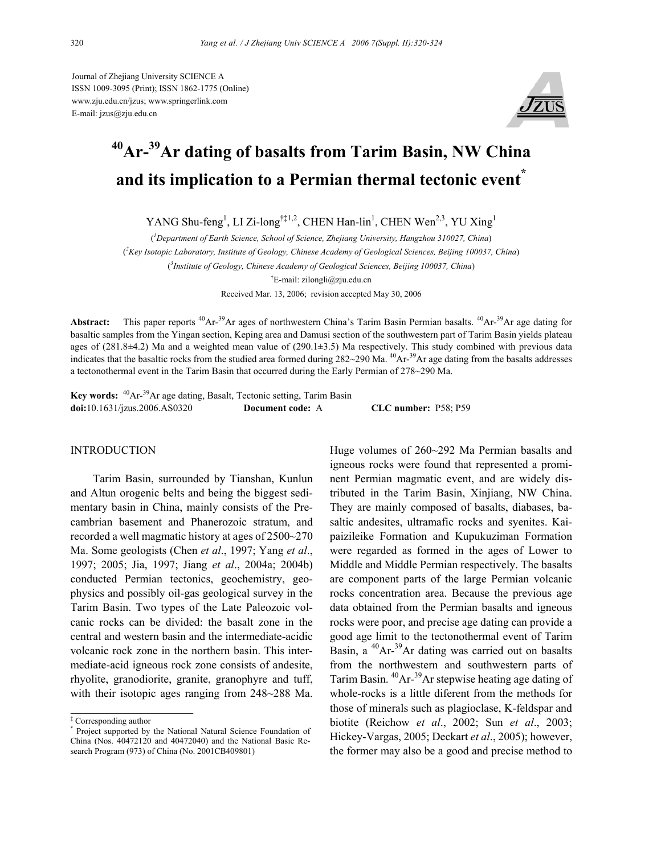Journal of Zhejiang University SCIENCE A ISSN 1009-3095 (Print); ISSN 1862-1775 (Online) www.zju.edu.cn/jzus; www.springerlink.com E-mail: jzus@zju.edu.cn



# **40Ar-39Ar dating of basalts from Tarim Basin, NW China**  and its implication to a Permian thermal tectonic event<sup>\*</sup>

YANG Shu-feng<sup>1</sup>, LI Zi-long<sup>†‡1,2</sup>, CHEN Han-lin<sup>1</sup>, CHEN Wen<sup>2,3</sup>, YU Xing<sup>1</sup>

( *1 Department of Earth Science, School of Science, Zhejiang University, Hangzhou 310027, China*) ( *2 Key Isotopic Laboratory, Institute of Geology, Chinese Academy of Geological Sciences, Beijing 100037, China*) ( *3 Institute of Geology, Chinese Academy of Geological Sciences, Beijing 100037, China*)

† E-mail: zilongli@zju.edu.cn Received Mar. 13, 2006; revision accepted May 30, 2006

Abstract: This paper reports <sup>40</sup>Ar-<sup>39</sup>Ar ages of northwestern China's Tarim Basin Permian basalts. <sup>40</sup>Ar-<sup>39</sup>Ar age dating for basaltic samples from the Yingan section, Keping area and Damusi section of the southwestern part of Tarim Basin yields plateau ages of  $(281.8\pm4.2)$  Ma and a weighted mean value of  $(290.1\pm3.5)$  Ma respectively. This study combined with previous data indicates that the basaltic rocks from the studied area formed during  $282{\sim}290$  Ma.  $^{40}Ar^{-39}Ar$  age dating from the basalts addresses a tectonothermal event in the Tarim Basin that occurred during the Early Permian of 278~290 Ma.

**Key words:** 40Ar-39Ar age dating, Basalt, Tectonic setting, Tarim Basin **doi:**10.1631/jzus.2006.AS0320 **Document code:** A **CLC number:** P58; P59

### INTRODUCTION

Tarim Basin, surrounded by Tianshan, Kunlun and Altun orogenic belts and being the biggest sedimentary basin in China, mainly consists of the Precambrian basement and Phanerozoic stratum, and recorded a well magmatic history at ages of 2500~270 Ma. Some geologists (Chen *et al*., 1997; Yang *et al*., 1997; 2005; Jia, 1997; Jiang *et al*., 2004a; 2004b) conducted Permian tectonics, geochemistry, geophysics and possibly oil-gas geological survey in the Tarim Basin. Two types of the Late Paleozoic volcanic rocks can be divided: the basalt zone in the central and western basin and the intermediate-acidic volcanic rock zone in the northern basin. This intermediate-acid igneous rock zone consists of andesite, rhyolite, granodiorite, granite, granophyre and tuff, with their isotopic ages ranging from 248~288 Ma.

Huge volumes of 260~292 Ma Permian basalts and igneous rocks were found that represented a prominent Permian magmatic event, and are widely distributed in the Tarim Basin, Xinjiang, NW China. They are mainly composed of basalts, diabases, basaltic andesites, ultramafic rocks and syenites. Kaipaizileike Formation and Kupukuziman Formation were regarded as formed in the ages of Lower to Middle and Middle Permian respectively. The basalts are component parts of the large Permian volcanic rocks concentration area. Because the previous age data obtained from the Permian basalts and igneous rocks were poor, and precise age dating can provide a good age limit to the tectonothermal event of Tarim Basin, a  $^{40}Ar^{-39}Ar$  dating was carried out on basalts from the northwestern and southwestern parts of Tarim Basin. <sup>40</sup>Ar-<sup>39</sup>Ar stepwise heating age dating of whole-rocks is a little diferent from the methods for those of minerals such as plagioclase, K-feldspar and biotite (Reichow *et al*., 2002; Sun *et al*., 2003; Hickey-Vargas, 2005; Deckart *et al*., 2005); however, the former may also be a good and precise method to

<sup>‡</sup> Corresponding author

<sup>\*</sup> Project supported by the National Natural Science Foundation of China (Nos. 40472120 and 40472040) and the National Basic Research Program (973) of China (No. 2001CB409801)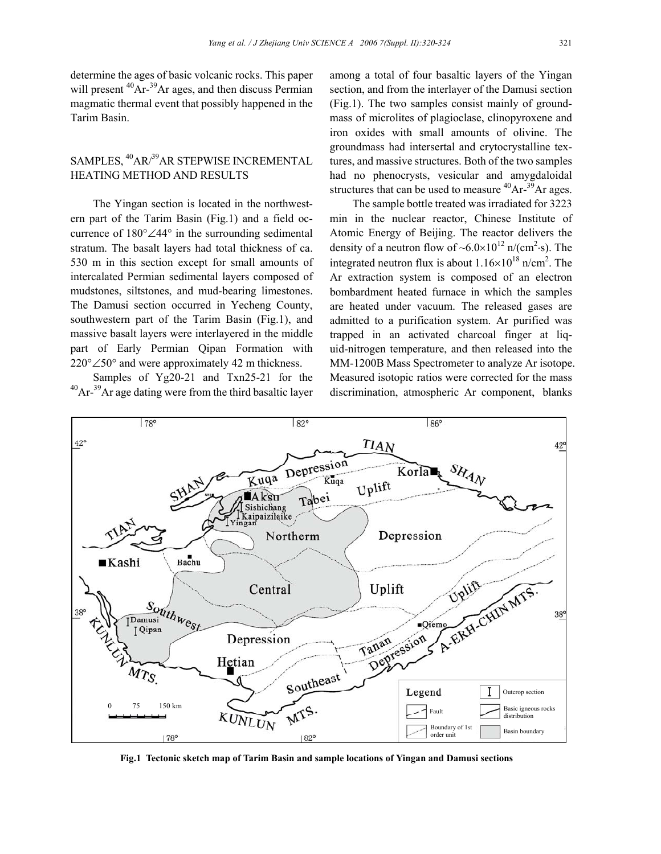determine the ages of basic volcanic rocks. This paper will present  ${}^{40}Ar^{-39}Ar$  ages, and then discuss Permian magmatic thermal event that possibly happened in the Tarim Basin.

## SAMPLES, <sup>40</sup>AR/<sup>39</sup>AR STEPWISE INCREMENTAL HEATING METHOD AND RESULTS

The Yingan section is located in the northwestern part of the Tarim Basin (Fig.1) and a field occurrence of 180°∠44° in the surrounding sedimental stratum. The basalt layers had total thickness of ca. 530 m in this section except for small amounts of intercalated Permian sedimental layers composed of mudstones, siltstones, and mud-bearing limestones. The Damusi section occurred in Yecheng County, southwestern part of the Tarim Basin (Fig.1), and massive basalt layers were interlayered in the middle part of Early Permian Qipan Formation with 220°∠50° and were approximately 42 m thickness.

Samples of Yg20-21 and Txn25-21 for the 40Ar-39Ar age dating were from the third basaltic layer

among a total of four basaltic layers of the Yingan section, and from the interlayer of the Damusi section (Fig.1). The two samples consist mainly of groundmass of microlites of plagioclase, clinopyroxene and iron oxides with small amounts of olivine. The groundmass had intersertal and crytocrystalline textures, and massive structures. Both of the two samples had no phenocrysts, vesicular and amygdaloidal structures that can be used to measure  $^{40}Ar^{-39}Ar$  ages.

The sample bottle treated was irradiated for 3223 min in the nuclear reactor, Chinese Institute of Atomic Energy of Beijing. The reactor delivers the density of a neutron flow of  $~6.0 \times 10^{12}$  n/(cm<sup>2</sup>·s). The integrated neutron flux is about  $1.16 \times 10^{18}$  n/cm<sup>2</sup>. The Ar extraction system is composed of an electron bombardment heated furnace in which the samples are heated under vacuum. The released gases are admitted to a purification system. Ar purified was trapped in an activated charcoal finger at liquid-nitrogen temperature, and then released into the MM-1200B Mass Spectrometer to analyze Ar isotope. Measured isotopic ratios were corrected for the mass discrimination, atmospheric Ar component, blanks



**Fig.1 Tectonic sketch map of Tarim Basin and sample locations of Yingan and Damusi sections**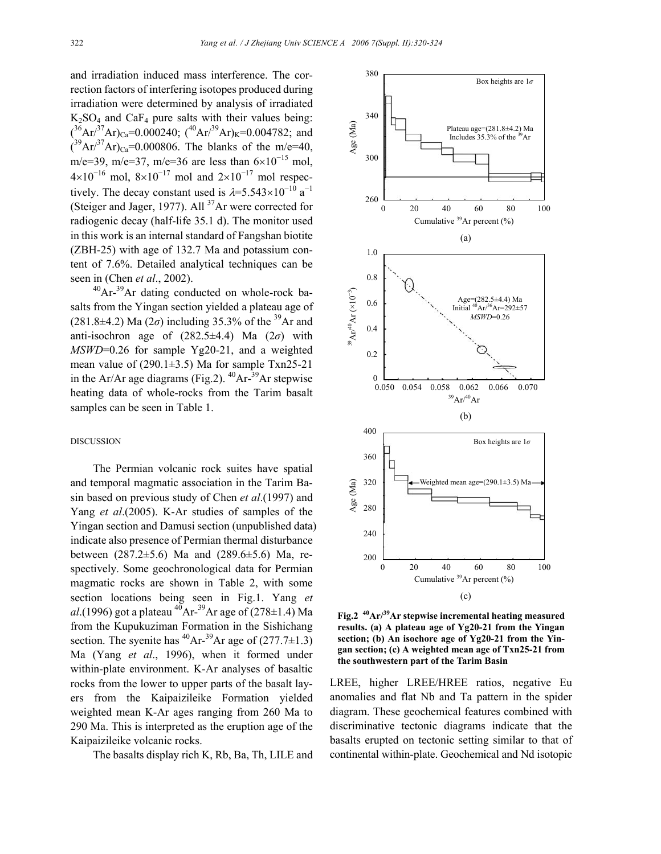and irradiation induced mass interference. The correction factors of interfering isotopes produced during irradiation were determined by analysis of irradiated  $K_2SO_4$  and  $CaF_4$  pure salts with their values being:  $({}^{36}Ar^{37}Ar)_{Ca} = 0.000240$ ;  $({}^{40}Ar^{39}Ar)_{K} = 0.004782$ ; and  $(^{39}Ar^{37}Ar)_{Ca} = 0.000806$ . The blanks of the m/e=40, m/e=39, m/e=37, m/e=36 are less than  $6\times10^{-15}$  mol,  $4\times10^{-16}$  mol,  $8\times10^{-17}$  mol and  $2\times10^{-17}$  mol respectively. The decay constant used is  $\lambda = 5.543 \times 10^{-10} \text{ a}^{-1}$ (Steiger and Jager, 1977). All  $37$ Ar were corrected for radiogenic decay (half-life 35.1 d). The monitor used in this work is an internal standard of Fangshan biotite (ZBH-25) with age of 132.7 Ma and potassium content of 7.6%. Detailed analytical techniques can be seen in (Chen *et al*., 2002).

 $^{40}Ar^{-39}Ar$  dating conducted on whole-rock basalts from the Yingan section yielded a plateau age of (281.8±4.2) Ma (2 $\sigma$ ) including 35.3% of the <sup>39</sup>Ar and anti-isochron age of  $(282.5\pm4.4)$  Ma  $(2\sigma)$  with *MSWD*=0.26 for sample Yg20-21, and a weighted mean value of  $(290.1\pm3.5)$  Ma for sample Txn25-21 in the Ar/Ar age diagrams (Fig.2).  $^{40}Ar^{-39}Ar$  stepwise heating data of whole-rocks from the Tarim basalt samples can be seen in Table 1.

#### DISCUSSION

The Permian volcanic rock suites have spatial and temporal magmatic association in the Tarim Basin based on previous study of Chen *et al*.(1997) and Yang *et al*.(2005). K-Ar studies of samples of the Yingan section and Damusi section (unpublished data) indicate also presence of Permian thermal disturbance between (287.2±5.6) Ma and (289.6±5.6) Ma, respectively. Some geochronological data for Permian magmatic rocks are shown in Table 2, with some section locations being seen in Fig.1. Yang *et al*.(1996) got a plateau <sup>40</sup>Ar-<sup>39</sup>Ar age of (278±1.4) Ma from the Kupukuziman Formation in the Sishichang section. The syenite has <sup>40</sup>Ar-<sup>39</sup>Ar age of  $(277.7\pm1.3)$ Ma (Yang *et al*., 1996), when it formed under within-plate environment. K-Ar analyses of basaltic rocks from the lower to upper parts of the basalt layers from the Kaipaizileike Formation yielded weighted mean K-Ar ages ranging from 260 Ma to 290 Ma. This is interpreted as the eruption age of the Kaipaizileike volcanic rocks.

The basalts display rich K, Rb, Ba, Th, LILE and



**Fig.2 40Ar/39Ar stepwise incremental heating measured results. (a) A plateau age of Yg20-21 from the Yingan section; (b) An isochore age of Yg20-21 from the Yingan section; (c) A weighted mean age of Txn25-21 from the southwestern part of the Tarim Basin** 

LREE, higher LREE/HREE ratios, negative Eu anomalies and flat Nb and Ta pattern in the spider diagram. These geochemical features combined with discriminative tectonic diagrams indicate that the basalts erupted on tectonic setting similar to that of continental within-plate. Geochemical and Nd isotopic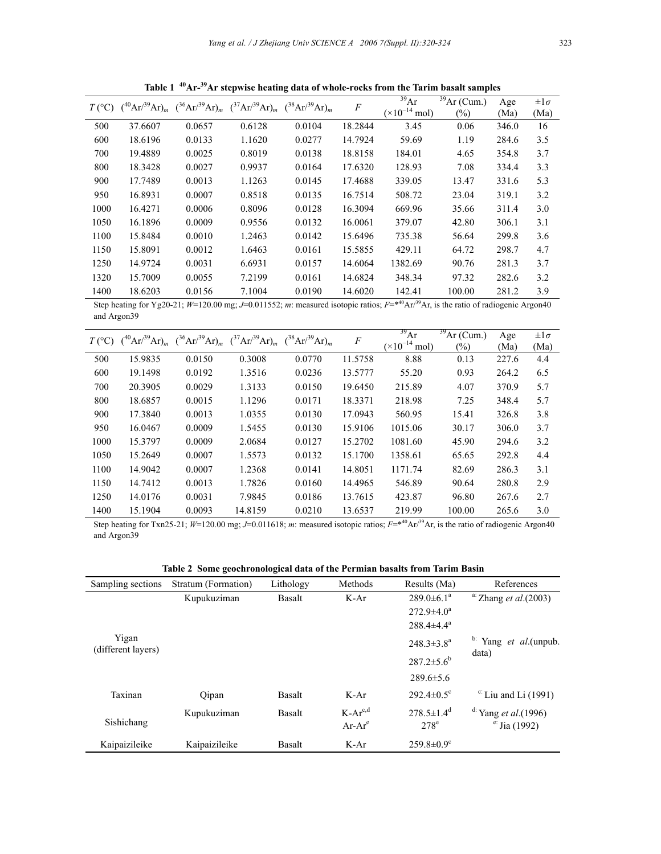|      |         | $T({}^{\circ}C)$ $({}^{40}Ar/{}^{39}Ar)_{m}$ $({}^{36}Ar/{}^{39}Ar)_{m}$ $({}^{37}Ar/{}^{39}Ar)_{m}$ $({}^{38}Ar/{}^{39}Ar)_{m}$ |        |        | $\cal F$ | $\frac{39}{9}$ Ar<br>$(\times 10^{-14})$<br>mol | $\frac{39}{2}Ar$ (Cum.)<br>$\frac{1}{2}$ | Age<br>(Ma) | $\pm 1\sigma$<br>(Ma) |
|------|---------|----------------------------------------------------------------------------------------------------------------------------------|--------|--------|----------|-------------------------------------------------|------------------------------------------|-------------|-----------------------|
|      |         |                                                                                                                                  |        |        |          |                                                 |                                          |             |                       |
| 500  | 37.6607 | 0.0657                                                                                                                           | 0.6128 | 0.0104 | 18.2844  | 3.45                                            | 0.06                                     | 346.0       | 16                    |
| 600  | 18.6196 | 0.0133                                                                                                                           | 1.1620 | 0.0277 | 14.7924  | 59.69                                           | 1.19                                     | 284.6       | 3.5                   |
| 700  | 19.4889 | 0.0025                                                                                                                           | 0.8019 | 0.0138 | 18.8158  | 184.01                                          | 4.65                                     | 354.8       | 3.7                   |
| 800  | 18.3428 | 0.0027                                                                                                                           | 0.9937 | 0.0164 | 17.6320  | 128.93                                          | 7.08                                     | 334.4       | 3.3                   |
| 900  | 17.7489 | 0.0013                                                                                                                           | 1.1263 | 0.0145 | 17.4688  | 339.05                                          | 13.47                                    | 331.6       | 5.3                   |
| 950  | 16.8931 | 0.0007                                                                                                                           | 0.8518 | 0.0135 | 16.7514  | 508.72                                          | 23.04                                    | 319.1       | 3.2                   |
| 1000 | 16.4271 | 0.0006                                                                                                                           | 0.8096 | 0.0128 | 16.3094  | 669.96                                          | 35.66                                    | 311.4       | 3.0                   |
| 1050 | 16.1896 | 0.0009                                                                                                                           | 0.9556 | 0.0132 | 16.0061  | 379.07                                          | 42.80                                    | 306.1       | 3.1                   |
| 1100 | 15.8484 | 0.0010                                                                                                                           | 1.2463 | 0.0142 | 15.6496  | 735.38                                          | 56.64                                    | 299.8       | 3.6                   |
| 1150 | 15.8091 | 0.0012                                                                                                                           | 1.6463 | 0.0161 | 15.5855  | 429.11                                          | 64.72                                    | 298.7       | 4.7                   |
| 1250 | 14.9724 | 0.0031                                                                                                                           | 6.6931 | 0.0157 | 14.6064  | 1382.69                                         | 90.76                                    | 281.3       | 3.7                   |
| 1320 | 15.7009 | 0.0055                                                                                                                           | 7.2199 | 0.0161 | 14.6824  | 348.34                                          | 97.32                                    | 282.6       | 3.2                   |
| 1400 | 18.6203 | 0.0156                                                                                                                           | 7.1004 | 0.0190 | 14.6020  | 142.41                                          | 100.00                                   | 281.2       | 3.9                   |

**Table 1 40Ar-39Ar stepwise heating data of whole-rocks from the Tarim basalt samples** 

Step heating for Yg20-21;  $W=120.00$  mg;  $J=0.011552$ ; *m*: measured isotopic ratios;  $F=\ast^{40}Ar^{39}Ar$ , is the ratio of radiogenic Argon40 and Argon39

|      |         |        | $T({}^{\circ}C)$ $({}^{40}Ar/{}^{39}Ar)_{m}$ $({}^{36}Ar/{}^{39}Ar)_{m}$ $({}^{37}Ar/{}^{39}Ar)_{m}$ $({}^{38}Ar/{}^{39}Ar)_{m}$ |        | $\boldsymbol{F}$ | $^{39}Ar$                       | 39<br>Ar (Cum.)   | Age   | $\pm 1\sigma$ |
|------|---------|--------|----------------------------------------------------------------------------------------------------------------------------------|--------|------------------|---------------------------------|-------------------|-------|---------------|
|      |         |        |                                                                                                                                  |        |                  | $(\times 10^{-14} \text{ mol})$ | $\left(\%\right)$ | (Ma)  | (Ma)          |
| 500  | 15.9835 | 0.0150 | 0.3008                                                                                                                           | 0.0770 | 11.5758          | 8.88                            | 0.13              | 227.6 | 4.4           |
| 600  | 19.1498 | 0.0192 | 1.3516                                                                                                                           | 0.0236 | 13.5777          | 55.20                           | 0.93              | 264.2 | 6.5           |
| 700  | 20.3905 | 0.0029 | 1.3133                                                                                                                           | 0.0150 | 19.6450          | 215.89                          | 4.07              | 370.9 | 5.7           |
| 800  | 18.6857 | 0.0015 | 1.1296                                                                                                                           | 0.0171 | 18.3371          | 218.98                          | 7.25              | 348.4 | 5.7           |
| 900  | 17.3840 | 0.0013 | 1.0355                                                                                                                           | 0.0130 | 17.0943          | 560.95                          | 15.41             | 326.8 | 3.8           |
| 950  | 16.0467 | 0.0009 | 1.5455                                                                                                                           | 0.0130 | 15.9106          | 1015.06                         | 30.17             | 306.0 | 3.7           |
| 1000 | 15.3797 | 0.0009 | 2.0684                                                                                                                           | 0.0127 | 15.2702          | 1081.60                         | 45.90             | 294.6 | 3.2           |
| 1050 | 15.2649 | 0.0007 | 1.5573                                                                                                                           | 0.0132 | 15.1700          | 1358.61                         | 65.65             | 292.8 | 4.4           |
| 1100 | 14.9042 | 0.0007 | 1.2368                                                                                                                           | 0.0141 | 14.8051          | 1171.74                         | 82.69             | 286.3 | 3.1           |
| 1150 | 14.7412 | 0.0013 | 1.7826                                                                                                                           | 0.0160 | 14.4965          | 546.89                          | 90.64             | 280.8 | 2.9           |
| 1250 | 14.0176 | 0.0031 | 7.9845                                                                                                                           | 0.0186 | 13.7615          | 423.87                          | 96.80             | 267.6 | 2.7           |
| 1400 | 15.1904 | 0.0093 | 14.8159                                                                                                                          | 0.0210 | 13.6537          | 219.99                          | 100.00            | 265.6 | 3.0           |

Step heating for Txn25-21; *W*=120.00 mg; *J*=0.011618; *m*: measured isotopic ratios;  $F = *^{40} Ar/{}^{39}Ar$ , is the ratio of radiogenic Argon40 and Argon39

|  |  |  | Table 2 Some geochronological data of the Permian basalts from Tarim Basin |  |  |
|--|--|--|----------------------------------------------------------------------------|--|--|
|  |  |  |                                                                            |  |  |

| Sampling sections           | Stratum (Formation) | Lithology     | Methods                   | Results (Ma)                            | References                                                 |
|-----------------------------|---------------------|---------------|---------------------------|-----------------------------------------|------------------------------------------------------------|
|                             | Kupukuziman         | Basalt        | $K-Ar$                    | $289.0 \pm 6.1^a$                       | a: Zhang et al. $(2003)$                                   |
|                             |                     |               |                           | $272.9 \pm 4.0^a$                       |                                                            |
|                             |                     |               |                           | $288.4\pm4.4^a$                         |                                                            |
| Yigan<br>(different layers) |                     |               |                           | $248.3 \pm 3.8^a$                       | $\flat$ : Yang <i>et al</i> .(unpub.<br>data)              |
|                             |                     |               |                           | $287.2 \pm 5.6^b$                       |                                                            |
|                             |                     |               |                           | $289.6 \pm 5.6$                         |                                                            |
| Taxinan                     | Qipan               | Basalt        | $K-Ar$                    | $292.4 \pm 0.5$ <sup>c</sup>            | $\text{c}$ : Liu and Li (1991)                             |
| Sishichang                  | Kupukuziman         | <b>Basalt</b> | $K-Ar^{c,d}$<br>$Ar-Ar^e$ | $278.5 \pm 1.4$ <sup>d</sup><br>$278^e$ | <sup>d:</sup> Yang <i>et al.</i> (1996)<br>$e:$ Jia (1992) |
| Kaipaizileike               | Kaipaizileike       | Basalt        | $K-Ar$                    | $259.8 \pm 0.9$ <sup>c</sup>            |                                                            |